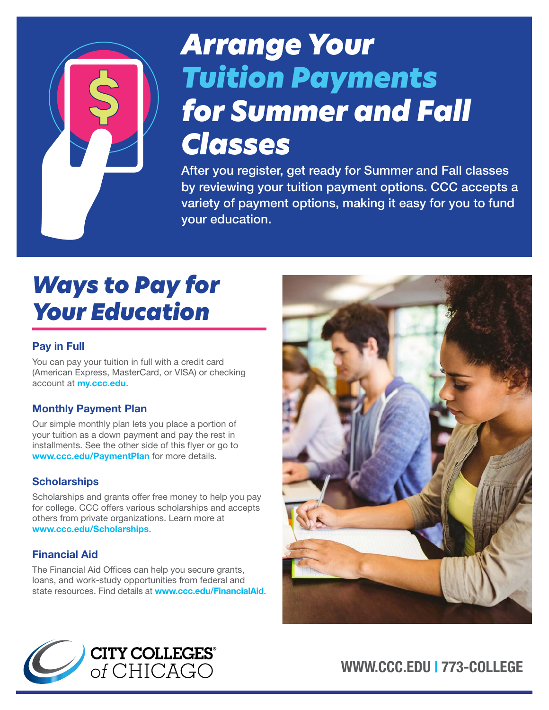# *Arrange Your Tuition Payments for Summer and Fall Classes*

After you register, get ready for Summer and Fall classes by reviewing your tuition payment options. CCC accepts a variety of payment options, making it easy for you to fund your education.

# *Ways to Pay for Your Education*

#### Pay in Full

You can pay your tuition in full with a credit card (American Express, MasterCard, or VISA) or checking account at **[my.ccc.edu](http://my.ccc.edu)**.

#### Monthly Payment Plan

Our simple monthly plan lets you place a portion of your tuition as a down payment and pay the rest in installments. See the other side of this flyer or go to [www.ccc.edu/PaymentPlan](http://www.ccc.edu/PaymentPlan) for more details.

#### **Scholarships**

Scholarships and grants offer free money to help you pay for college. CCC offers various scholarships and accepts others from private organizations. Learn more at [www.ccc.edu/Scholarships](http://www.ccc.edu/Scholarships).

#### Financial Aid

The Financial Aid Offices can help you secure grants, loans, and work-study opportunities from federal and state resources. Find details at **[www.ccc.edu/FinancialAid](http://www.ccc.edu/FinancialAid).** 





[WWW.CCC.EDU](http://WWW.CCC.EDU) | 773-COLLEGE